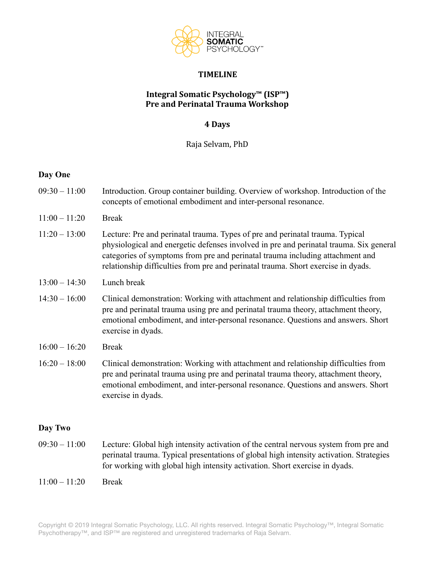

#### **TIMELINE**

## **Integral Somatic Psychology™ (ISP™) Pre and Perinatal Trauma Workshop**

### **4 Days**

Raja Selvam, PhD

#### **Day One**

- 09:30 11:00 Introduction. Group container building. Overview of workshop. Introduction of the concepts of emotional embodiment and inter-personal resonance.
- 11:00 11:20 Break
- 11:20 13:00 Lecture: Pre and perinatal trauma. Types of pre and perinatal trauma. Typical physiological and energetic defenses involved in pre and perinatal trauma. Six general categories of symptoms from pre and perinatal trauma including attachment and relationship difficulties from pre and perinatal trauma. Short exercise in dyads.
- 13:00 14:30 Lunch break
- 14:30 16:00 Clinical demonstration: Working with attachment and relationship difficulties from pre and perinatal trauma using pre and perinatal trauma theory, attachment theory, emotional embodiment, and inter-personal resonance. Questions and answers. Short exercise in dyads.
- $16:00 16:20$  Break
- 16:20 18:00 Clinical demonstration: Working with attachment and relationship difficulties from pre and perinatal trauma using pre and perinatal trauma theory, attachment theory, emotional embodiment, and inter-personal resonance. Questions and answers. Short exercise in dyads.

#### **Day Two**

- 09:30 11:00 Lecture: Global high intensity activation of the central nervous system from pre and perinatal trauma. Typical presentations of global high intensity activation. Strategies for working with global high intensity activation. Short exercise in dyads.
- $11:00 11:20$  Break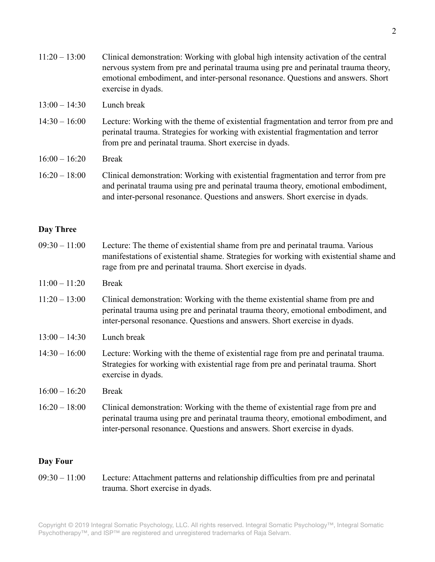- 13:00 14:30 Lunch break
- 14:30 16:00 Lecture: Working with the theme of existential fragmentation and terror from pre and perinatal trauma. Strategies for working with existential fragmentation and terror from pre and perinatal trauma. Short exercise in dyads.
- 16:00 16:20 Break
- 16:20 18:00 Clinical demonstration: Working with existential fragmentation and terror from pre and perinatal trauma using pre and perinatal trauma theory, emotional embodiment, and inter-personal resonance. Questions and answers. Short exercise in dyads.

# **Day Three**

- 09:30 11:00 Lecture: The theme of existential shame from pre and perinatal trauma. Various manifestations of existential shame. Strategies for working with existential shame and rage from pre and perinatal trauma. Short exercise in dyads.
- $11:00 11:20$  Break
- 11:20 13:00 Clinical demonstration: Working with the theme existential shame from pre and perinatal trauma using pre and perinatal trauma theory, emotional embodiment, and inter-personal resonance. Questions and answers. Short exercise in dyads.
- 13:00 14:30 Lunch break
- 14:30 16:00 Lecture: Working with the theme of existential rage from pre and perinatal trauma. Strategies for working with existential rage from pre and perinatal trauma. Short exercise in dyads.
- 16:00 16:20 Break
- 16:20 18:00 Clinical demonstration: Working with the theme of existential rage from pre and perinatal trauma using pre and perinatal trauma theory, emotional embodiment, and inter-personal resonance. Questions and answers. Short exercise in dyads.

#### **Day Four**

09:30 – 11:00 Lecture: Attachment patterns and relationship difficulties from pre and perinatal trauma. Short exercise in dyads.